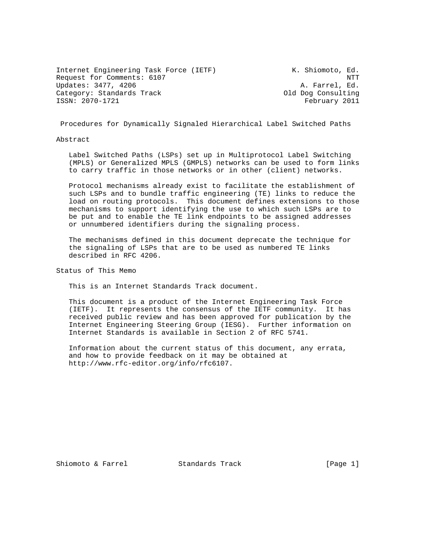Internet Engineering Task Force (IETF) K. Shiomoto, Ed. Request for Comments: 6107 NTT Updates: 3477, 4206 A. Farrel, Ed. Category: Standards Track Category: Standards Track Category: Old Dog Consulting ISSN: 2070-1721 February 2011

Procedures for Dynamically Signaled Hierarchical Label Switched Paths

Abstract

 Label Switched Paths (LSPs) set up in Multiprotocol Label Switching (MPLS) or Generalized MPLS (GMPLS) networks can be used to form links to carry traffic in those networks or in other (client) networks.

 Protocol mechanisms already exist to facilitate the establishment of such LSPs and to bundle traffic engineering (TE) links to reduce the load on routing protocols. This document defines extensions to those mechanisms to support identifying the use to which such LSPs are to be put and to enable the TE link endpoints to be assigned addresses or unnumbered identifiers during the signaling process.

 The mechanisms defined in this document deprecate the technique for the signaling of LSPs that are to be used as numbered TE links described in RFC 4206.

Status of This Memo

This is an Internet Standards Track document.

 This document is a product of the Internet Engineering Task Force (IETF). It represents the consensus of the IETF community. It has received public review and has been approved for publication by the Internet Engineering Steering Group (IESG). Further information on Internet Standards is available in Section 2 of RFC 5741.

 Information about the current status of this document, any errata, and how to provide feedback on it may be obtained at http://www.rfc-editor.org/info/rfc6107.

Shiomoto & Farrel Standards Track [Page 1]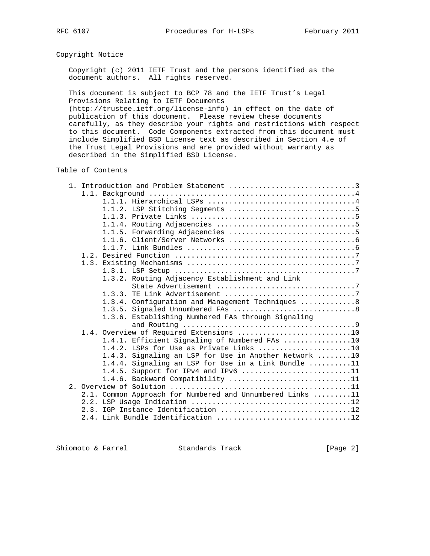# Copyright Notice

 Copyright (c) 2011 IETF Trust and the persons identified as the document authors. All rights reserved.

 This document is subject to BCP 78 and the IETF Trust's Legal Provisions Relating to IETF Documents

 (http://trustee.ietf.org/license-info) in effect on the date of publication of this document. Please review these documents carefully, as they describe your rights and restrictions with respect to this document. Code Components extracted from this document must include Simplified BSD License text as described in Section 4.e of the Trust Legal Provisions and are provided without warranty as described in the Simplified BSD License.

# Table of Contents

|  | 1. Introduction and Problem Statement 3                              |
|--|----------------------------------------------------------------------|
|  |                                                                      |
|  |                                                                      |
|  |                                                                      |
|  |                                                                      |
|  |                                                                      |
|  |                                                                      |
|  |                                                                      |
|  |                                                                      |
|  |                                                                      |
|  |                                                                      |
|  |                                                                      |
|  | 1.3.2. Routing Adjacency Establishment and Link                      |
|  |                                                                      |
|  |                                                                      |
|  | 1.3.4. Configuration and Management Techniques 8                     |
|  |                                                                      |
|  | 1.3.6. Establishing Numbered FAs through Signaling                   |
|  |                                                                      |
|  | 1.4. Overview of Required Extensions 10                              |
|  | 1.4.1. Efficient Signaling of Numbered FAs 10                        |
|  | 1.4.2. LSPs for Use as Private Links 10                              |
|  | 1.4.3. Signaling an LSP for Use in Another Network 10                |
|  | 1.4.4. Signaling an LSP for Use in a Link Bundle $\dots\dots\dots11$ |
|  | 1.4.5. Support for IPv4 and IPv6 11                                  |
|  | 1.4.6. Backward Compatibility 11                                     |
|  |                                                                      |
|  | 2.1. Common Approach for Numbered and Unnumbered Links 11            |
|  |                                                                      |
|  | 2.3. IGP Instance Identification 12                                  |
|  |                                                                      |
|  |                                                                      |

Shiomoto & Farrel Standards Track [Page 2]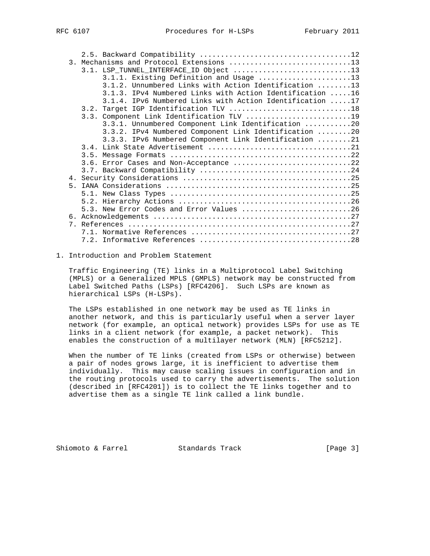| 3. Mechanisms and Protocol Extensions 13                 |
|----------------------------------------------------------|
| 3.1. LSP TUNNEL INTERFACE ID Object 13                   |
| 3.1.1. Existing Definition and Usage 13                  |
| 3.1.2. Unnumbered Links with Action Identification 13    |
| 3.1.3. IPv4 Numbered Links with Action Identification 16 |
| 3.1.4. IPv6 Numbered Links with Action Identification 17 |
|                                                          |
| 3.3. Component Link Identification TLV 19                |
| 3.3.1. Unnumbered Component Link Identification 20       |
| 3.3.2. IPv4 Numbered Component Link Identification 20    |
| 3.3.3. IPv6 Numbered Component Link Identification 21    |
|                                                          |
|                                                          |
| 3.6. Error Cases and Non-Acceptance 22                   |
|                                                          |
|                                                          |
|                                                          |
|                                                          |
|                                                          |
| 5.3. New Error Codes and Error Values 26                 |
|                                                          |
|                                                          |
|                                                          |
|                                                          |

#### 1. Introduction and Problem Statement

 Traffic Engineering (TE) links in a Multiprotocol Label Switching (MPLS) or a Generalized MPLS (GMPLS) network may be constructed from Label Switched Paths (LSPs) [RFC4206]. Such LSPs are known as hierarchical LSPs (H-LSPs).

 The LSPs established in one network may be used as TE links in another network, and this is particularly useful when a server layer network (for example, an optical network) provides LSPs for use as TE links in a client network (for example, a packet network). This enables the construction of a multilayer network (MLN) [RFC5212].

 When the number of TE links (created from LSPs or otherwise) between a pair of nodes grows large, it is inefficient to advertise them individually. This may cause scaling issues in configuration and in the routing protocols used to carry the advertisements. The solution (described in [RFC4201]) is to collect the TE links together and to advertise them as a single TE link called a link bundle.

Shiomoto & Farrel Standards Track [Page 3]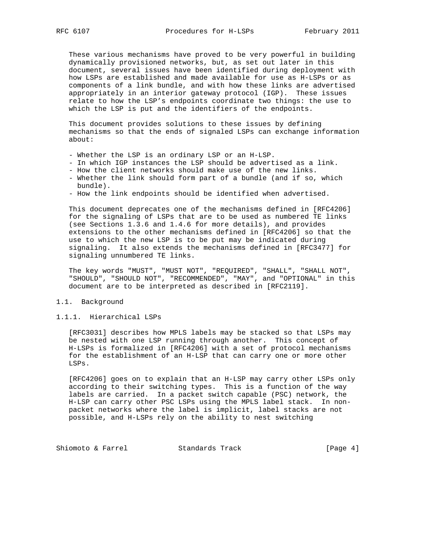These various mechanisms have proved to be very powerful in building dynamically provisioned networks, but, as set out later in this document, several issues have been identified during deployment with how LSPs are established and made available for use as H-LSPs or as components of a link bundle, and with how these links are advertised appropriately in an interior gateway protocol (IGP). These issues relate to how the LSP's endpoints coordinate two things: the use to which the LSP is put and the identifiers of the endpoints.

 This document provides solutions to these issues by defining mechanisms so that the ends of signaled LSPs can exchange information about:

- Whether the LSP is an ordinary LSP or an H-LSP.
- In which IGP instances the LSP should be advertised as a link.
- How the client networks should make use of the new links.
- Whether the link should form part of a bundle (and if so, which bundle).
- How the link endpoints should be identified when advertised.

 This document deprecates one of the mechanisms defined in [RFC4206] for the signaling of LSPs that are to be used as numbered TE links (see Sections 1.3.6 and 1.4.6 for more details), and provides extensions to the other mechanisms defined in [RFC4206] so that the use to which the new LSP is to be put may be indicated during signaling. It also extends the mechanisms defined in [RFC3477] for signaling unnumbered TE links.

 The key words "MUST", "MUST NOT", "REQUIRED", "SHALL", "SHALL NOT", "SHOULD", "SHOULD NOT", "RECOMMENDED", "MAY", and "OPTIONAL" in this document are to be interpreted as described in [RFC2119].

## 1.1. Background

## 1.1.1. Hierarchical LSPs

 [RFC3031] describes how MPLS labels may be stacked so that LSPs may be nested with one LSP running through another. This concept of H-LSPs is formalized in [RFC4206] with a set of protocol mechanisms for the establishment of an H-LSP that can carry one or more other LSPs.

 [RFC4206] goes on to explain that an H-LSP may carry other LSPs only according to their switching types. This is a function of the way labels are carried. In a packet switch capable (PSC) network, the H-LSP can carry other PSC LSPs using the MPLS label stack. In non packet networks where the label is implicit, label stacks are not possible, and H-LSPs rely on the ability to nest switching

Shiomoto & Farrel Standards Track [Page 4]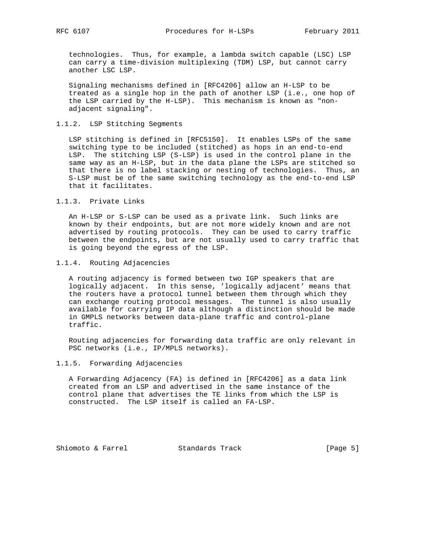technologies. Thus, for example, a lambda switch capable (LSC) LSP can carry a time-division multiplexing (TDM) LSP, but cannot carry another LSC LSP.

 Signaling mechanisms defined in [RFC4206] allow an H-LSP to be treated as a single hop in the path of another LSP (i.e., one hop of the LSP carried by the H-LSP). This mechanism is known as "non adjacent signaling".

## 1.1.2. LSP Stitching Segments

 LSP stitching is defined in [RFC5150]. It enables LSPs of the same switching type to be included (stitched) as hops in an end-to-end LSP. The stitching LSP (S-LSP) is used in the control plane in the same way as an H-LSP, but in the data plane the LSPs are stitched so that there is no label stacking or nesting of technologies. Thus, an S-LSP must be of the same switching technology as the end-to-end LSP that it facilitates.

1.1.3. Private Links

 An H-LSP or S-LSP can be used as a private link. Such links are known by their endpoints, but are not more widely known and are not advertised by routing protocols. They can be used to carry traffic between the endpoints, but are not usually used to carry traffic that is going beyond the egress of the LSP.

#### 1.1.4. Routing Adjacencies

 A routing adjacency is formed between two IGP speakers that are logically adjacent. In this sense, 'logically adjacent' means that the routers have a protocol tunnel between them through which they can exchange routing protocol messages. The tunnel is also usually available for carrying IP data although a distinction should be made in GMPLS networks between data-plane traffic and control-plane traffic.

 Routing adjacencies for forwarding data traffic are only relevant in PSC networks (i.e., IP/MPLS networks).

# 1.1.5. Forwarding Adjacencies

 A Forwarding Adjacency (FA) is defined in [RFC4206] as a data link created from an LSP and advertised in the same instance of the control plane that advertises the TE links from which the LSP is constructed. The LSP itself is called an FA-LSP.

Shiomoto & Farrel Standards Track [Page 5]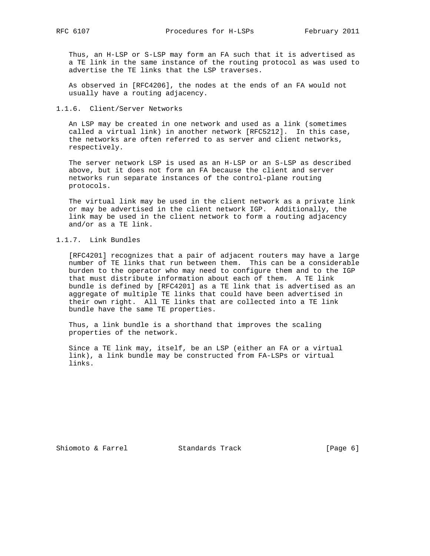Thus, an H-LSP or S-LSP may form an FA such that it is advertised as a TE link in the same instance of the routing protocol as was used to advertise the TE links that the LSP traverses.

 As observed in [RFC4206], the nodes at the ends of an FA would not usually have a routing adjacency.

#### 1.1.6. Client/Server Networks

 An LSP may be created in one network and used as a link (sometimes called a virtual link) in another network [RFC5212]. In this case, the networks are often referred to as server and client networks, respectively.

 The server network LSP is used as an H-LSP or an S-LSP as described above, but it does not form an FA because the client and server networks run separate instances of the control-plane routing protocols.

 The virtual link may be used in the client network as a private link or may be advertised in the client network IGP. Additionally, the link may be used in the client network to form a routing adjacency and/or as a TE link.

# 1.1.7. Link Bundles

 [RFC4201] recognizes that a pair of adjacent routers may have a large number of TE links that run between them. This can be a considerable burden to the operator who may need to configure them and to the IGP that must distribute information about each of them. A TE link bundle is defined by [RFC4201] as a TE link that is advertised as an aggregate of multiple TE links that could have been advertised in their own right. All TE links that are collected into a TE link bundle have the same TE properties.

 Thus, a link bundle is a shorthand that improves the scaling properties of the network.

 Since a TE link may, itself, be an LSP (either an FA or a virtual link), a link bundle may be constructed from FA-LSPs or virtual links.

Shiomoto & Farrel Standards Track [Page 6]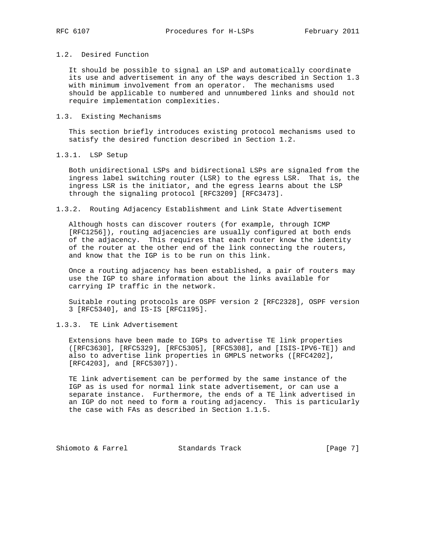# 1.2. Desired Function

 It should be possible to signal an LSP and automatically coordinate its use and advertisement in any of the ways described in Section 1.3 with minimum involvement from an operator. The mechanisms used should be applicable to numbered and unnumbered links and should not require implementation complexities.

#### 1.3. Existing Mechanisms

 This section briefly introduces existing protocol mechanisms used to satisfy the desired function described in Section 1.2.

# 1.3.1. LSP Setup

 Both unidirectional LSPs and bidirectional LSPs are signaled from the ingress label switching router (LSR) to the egress LSR. That is, the ingress LSR is the initiator, and the egress learns about the LSP through the signaling protocol [RFC3209] [RFC3473].

#### 1.3.2. Routing Adjacency Establishment and Link State Advertisement

 Although hosts can discover routers (for example, through ICMP [RFC1256]), routing adjacencies are usually configured at both ends of the adjacency. This requires that each router know the identity of the router at the other end of the link connecting the routers, and know that the IGP is to be run on this link.

 Once a routing adjacency has been established, a pair of routers may use the IGP to share information about the links available for carrying IP traffic in the network.

 Suitable routing protocols are OSPF version 2 [RFC2328], OSPF version 3 [RFC5340], and IS-IS [RFC1195].

## 1.3.3. TE Link Advertisement

 Extensions have been made to IGPs to advertise TE link properties ([RFC3630], [RFC5329], [RFC5305], [RFC5308], and [ISIS-IPV6-TE]) and also to advertise link properties in GMPLS networks ([RFC4202], [RFC4203], and [RFC5307]).

 TE link advertisement can be performed by the same instance of the IGP as is used for normal link state advertisement, or can use a separate instance. Furthermore, the ends of a TE link advertised in an IGP do not need to form a routing adjacency. This is particularly the case with FAs as described in Section 1.1.5.

Shiomoto & Farrel Standards Track [Page 7]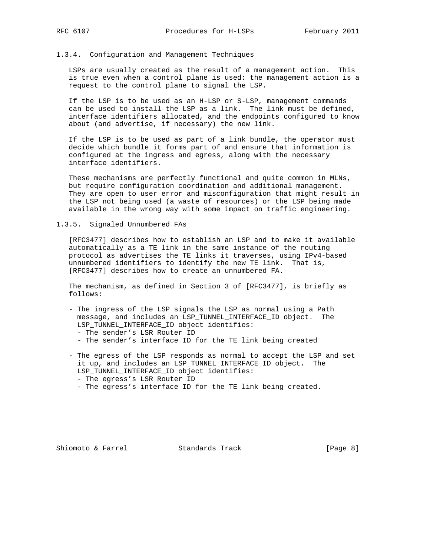#### 1.3.4. Configuration and Management Techniques

 LSPs are usually created as the result of a management action. This is true even when a control plane is used: the management action is a request to the control plane to signal the LSP.

 If the LSP is to be used as an H-LSP or S-LSP, management commands can be used to install the LSP as a link. The link must be defined, interface identifiers allocated, and the endpoints configured to know about (and advertise, if necessary) the new link.

 If the LSP is to be used as part of a link bundle, the operator must decide which bundle it forms part of and ensure that information is configured at the ingress and egress, along with the necessary interface identifiers.

 These mechanisms are perfectly functional and quite common in MLNs, but require configuration coordination and additional management. They are open to user error and misconfiguration that might result in the LSP not being used (a waste of resources) or the LSP being made available in the wrong way with some impact on traffic engineering.

#### 1.3.5. Signaled Unnumbered FAs

 [RFC3477] describes how to establish an LSP and to make it available automatically as a TE link in the same instance of the routing protocol as advertises the TE links it traverses, using IPv4-based unnumbered identifiers to identify the new TE link. That is, [RFC3477] describes how to create an unnumbered FA.

 The mechanism, as defined in Section 3 of [RFC3477], is briefly as follows:

- The ingress of the LSP signals the LSP as normal using a Path message, and includes an LSP\_TUNNEL\_INTERFACE\_ID object. The LSP\_TUNNEL\_INTERFACE\_ID object identifies: - The sender's LSR Router ID
	- The sender's interface ID for the TE link being created
- The egress of the LSP responds as normal to accept the LSP and set it up, and includes an LSP\_TUNNEL\_INTERFACE\_ID object. The LSP\_TUNNEL\_INTERFACE\_ID object identifies: - The egress's LSR Router ID
	- The egress's interface ID for the TE link being created.

Shiomoto & Farrel Standards Track [Page 8]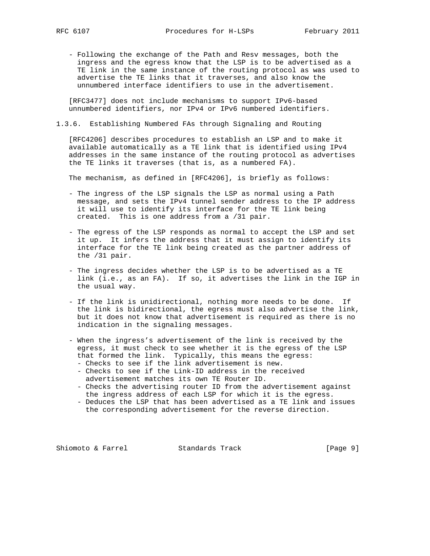- Following the exchange of the Path and Resv messages, both the ingress and the egress know that the LSP is to be advertised as a TE link in the same instance of the routing protocol as was used to advertise the TE links that it traverses, and also know the unnumbered interface identifiers to use in the advertisement.

 [RFC3477] does not include mechanisms to support IPv6-based unnumbered identifiers, nor IPv4 or IPv6 numbered identifiers.

## 1.3.6. Establishing Numbered FAs through Signaling and Routing

 [RFC4206] describes procedures to establish an LSP and to make it available automatically as a TE link that is identified using IPv4 addresses in the same instance of the routing protocol as advertises the TE links it traverses (that is, as a numbered FA).

The mechanism, as defined in [RFC4206], is briefly as follows:

- The ingress of the LSP signals the LSP as normal using a Path message, and sets the IPv4 tunnel sender address to the IP address it will use to identify its interface for the TE link being created. This is one address from a /31 pair.
- The egress of the LSP responds as normal to accept the LSP and set it up. It infers the address that it must assign to identify its interface for the TE link being created as the partner address of the /31 pair.
- The ingress decides whether the LSP is to be advertised as a TE link (i.e., as an FA). If so, it advertises the link in the IGP in the usual way.
- If the link is unidirectional, nothing more needs to be done. If the link is bidirectional, the egress must also advertise the link, but it does not know that advertisement is required as there is no indication in the signaling messages.
- When the ingress's advertisement of the link is received by the egress, it must check to see whether it is the egress of the LSP that formed the link. Typically, this means the egress:
	- Checks to see if the link advertisement is new.
	- Checks to see if the Link-ID address in the received advertisement matches its own TE Router ID.
	- Checks the advertising router ID from the advertisement against the ingress address of each LSP for which it is the egress.
	- Deduces the LSP that has been advertised as a TE link and issues the corresponding advertisement for the reverse direction.

Shiomoto & Farrel Standards Track [Page 9]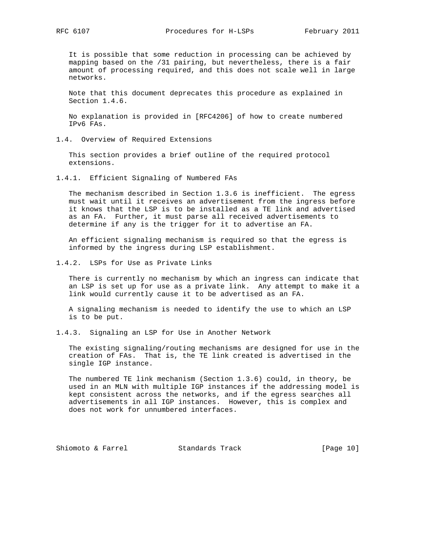RFC 6107 **Procedures for H-LSPs** February 2011

 It is possible that some reduction in processing can be achieved by mapping based on the /31 pairing, but nevertheless, there is a fair amount of processing required, and this does not scale well in large networks.

 Note that this document deprecates this procedure as explained in Section 1.4.6.

 No explanation is provided in [RFC4206] of how to create numbered IPv6 FAs.

1.4. Overview of Required Extensions

 This section provides a brief outline of the required protocol extensions.

1.4.1. Efficient Signaling of Numbered FAs

 The mechanism described in Section 1.3.6 is inefficient. The egress must wait until it receives an advertisement from the ingress before it knows that the LSP is to be installed as a TE link and advertised as an FA. Further, it must parse all received advertisements to determine if any is the trigger for it to advertise an FA.

 An efficient signaling mechanism is required so that the egress is informed by the ingress during LSP establishment.

1.4.2. LSPs for Use as Private Links

 There is currently no mechanism by which an ingress can indicate that an LSP is set up for use as a private link. Any attempt to make it a link would currently cause it to be advertised as an FA.

 A signaling mechanism is needed to identify the use to which an LSP is to be put.

1.4.3. Signaling an LSP for Use in Another Network

 The existing signaling/routing mechanisms are designed for use in the creation of FAs. That is, the TE link created is advertised in the single IGP instance.

 The numbered TE link mechanism (Section 1.3.6) could, in theory, be used in an MLN with multiple IGP instances if the addressing model is kept consistent across the networks, and if the egress searches all advertisements in all IGP instances. However, this is complex and does not work for unnumbered interfaces.

Shiomoto & Farrel Standards Track [Page 10]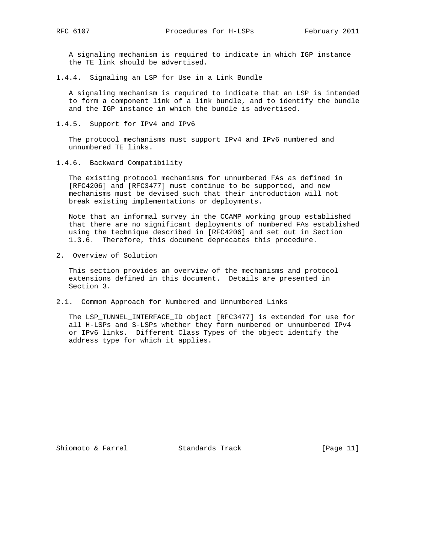A signaling mechanism is required to indicate in which IGP instance the TE link should be advertised.

1.4.4. Signaling an LSP for Use in a Link Bundle

 A signaling mechanism is required to indicate that an LSP is intended to form a component link of a link bundle, and to identify the bundle and the IGP instance in which the bundle is advertised.

1.4.5. Support for IPv4 and IPv6

 The protocol mechanisms must support IPv4 and IPv6 numbered and unnumbered TE links.

1.4.6. Backward Compatibility

 The existing protocol mechanisms for unnumbered FAs as defined in [RFC4206] and [RFC3477] must continue to be supported, and new mechanisms must be devised such that their introduction will not break existing implementations or deployments.

 Note that an informal survey in the CCAMP working group established that there are no significant deployments of numbered FAs established using the technique described in [RFC4206] and set out in Section 1.3.6. Therefore, this document deprecates this procedure.

2. Overview of Solution

 This section provides an overview of the mechanisms and protocol extensions defined in this document. Details are presented in Section 3.

2.1. Common Approach for Numbered and Unnumbered Links

 The LSP\_TUNNEL\_INTERFACE\_ID object [RFC3477] is extended for use for all H-LSPs and S-LSPs whether they form numbered or unnumbered IPv4 or IPv6 links. Different Class Types of the object identify the address type for which it applies.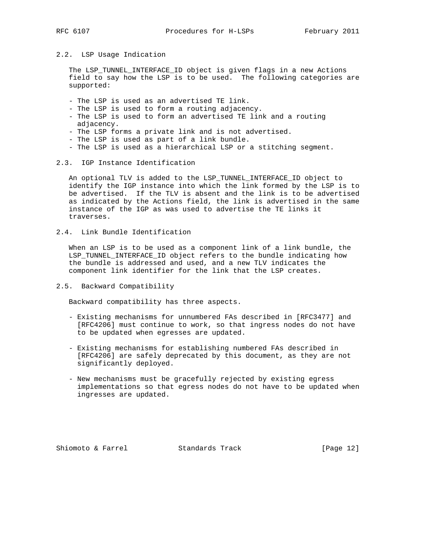## 2.2. LSP Usage Indication

 The LSP\_TUNNEL\_INTERFACE\_ID object is given flags in a new Actions field to say how the LSP is to be used. The following categories are supported:

- The LSP is used as an advertised TE link.
- The LSP is used to form a routing adjacency.
- The LSP is used to form an advertised TE link and a routing adjacency.
- The LSP forms a private link and is not advertised.
- The LSP is used as part of a link bundle.
- The LSP is used as a hierarchical LSP or a stitching segment.

#### 2.3. IGP Instance Identification

 An optional TLV is added to the LSP\_TUNNEL\_INTERFACE\_ID object to identify the IGP instance into which the link formed by the LSP is to be advertised. If the TLV is absent and the link is to be advertised as indicated by the Actions field, the link is advertised in the same instance of the IGP as was used to advertise the TE links it traverses.

2.4. Link Bundle Identification

 When an LSP is to be used as a component link of a link bundle, the LSP\_TUNNEL\_INTERFACE\_ID object refers to the bundle indicating how the bundle is addressed and used, and a new TLV indicates the component link identifier for the link that the LSP creates.

#### 2.5. Backward Compatibility

Backward compatibility has three aspects.

- Existing mechanisms for unnumbered FAs described in [RFC3477] and [RFC4206] must continue to work, so that ingress nodes do not have to be updated when egresses are updated.
- Existing mechanisms for establishing numbered FAs described in [RFC4206] are safely deprecated by this document, as they are not significantly deployed.
- New mechanisms must be gracefully rejected by existing egress implementations so that egress nodes do not have to be updated when ingresses are updated.

Shiomoto & Farrel Standards Track [Page 12]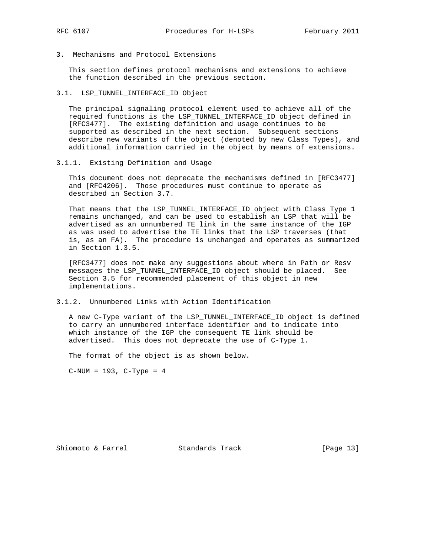3. Mechanisms and Protocol Extensions

 This section defines protocol mechanisms and extensions to achieve the function described in the previous section.

3.1. LSP\_TUNNEL\_INTERFACE\_ID Object

 The principal signaling protocol element used to achieve all of the required functions is the LSP\_TUNNEL\_INTERFACE\_ID object defined in [RFC3477]. The existing definition and usage continues to be supported as described in the next section. Subsequent sections describe new variants of the object (denoted by new Class Types), and additional information carried in the object by means of extensions.

3.1.1. Existing Definition and Usage

 This document does not deprecate the mechanisms defined in [RFC3477] and [RFC4206]. Those procedures must continue to operate as described in Section 3.7.

 That means that the LSP\_TUNNEL\_INTERFACE\_ID object with Class Type 1 remains unchanged, and can be used to establish an LSP that will be advertised as an unnumbered TE link in the same instance of the IGP as was used to advertise the TE links that the LSP traverses (that is, as an FA). The procedure is unchanged and operates as summarized in Section 1.3.5.

 [RFC3477] does not make any suggestions about where in Path or Resv messages the LSP\_TUNNEL\_INTERFACE\_ID object should be placed. See Section 3.5 for recommended placement of this object in new implementations.

3.1.2. Unnumbered Links with Action Identification

 A new C-Type variant of the LSP\_TUNNEL\_INTERFACE\_ID object is defined to carry an unnumbered interface identifier and to indicate into which instance of the IGP the consequent TE link should be advertised. This does not deprecate the use of C-Type 1.

The format of the object is as shown below.

 $C-NUM = 193$ ,  $C-Type = 4$ 

Shiomoto & Farrel Standards Track [Page 13]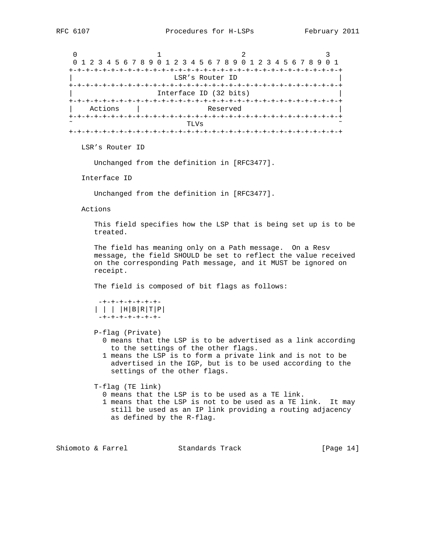0  $1$  2 3 0 1 2 3 4 5 6 7 8 9 0 1 2 3 4 5 6 7 8 9 0 1 2 3 4 5 6 7 8 9 0 1 +-+-+-+-+-+-+-+-+-+-+-+-+-+-+-+-+-+-+-+-+-+-+-+-+-+-+-+-+-+-+-+-+ LSR's Router ID +-+-+-+-+-+-+-+-+-+-+-+-+-+-+-+-+-+-+-+-+-+-+-+-+-+-+-+-+-+-+-+-+ Interface ID (32 bits) +-+-+-+-+-+-+-+-+-+-+-+-+-+-+-+-+-+-+-+-+-+-+-+-+-+-+-+-+-+-+-+-+ Actions | Reserved +-+-+-+-+-+-+-+-+-+-+-+-+-+-+-+-+-+-+-+-+-+-+-+-+-+-+-+-+-+-+-+-+  $\sim$   $\sim$  TLVs  $\sim$  +-+-+-+-+-+-+-+-+-+-+-+-+-+-+-+-+-+-+-+-+-+-+-+-+-+-+-+-+-+-+-+-+ LSR's Router ID Unchanged from the definition in [RFC3477]. Interface ID Unchanged from the definition in [RFC3477]. Actions This field specifies how the LSP that is being set up is to be treated. The field has meaning only on a Path message. On a Resv message, the field SHOULD be set to reflect the value received on the corresponding Path message, and it MUST be ignored on receipt. The field is composed of bit flags as follows: -+-+-+-+-+-+-+- | | | |H|B|R|T|P| -+-+-+-+-+-+-+- P-flag (Private) 0 means that the LSP is to be advertised as a link according to the settings of the other flags. 1 means the LSP is to form a private link and is not to be advertised in the IGP, but is to be used according to the settings of the other flags. T-flag (TE link) 0 means that the LSP is to be used as a TE link. 1 means that the LSP is not to be used as a TE link. It may still be used as an IP link providing a routing adjacency

Shiomoto & Farrel Standards Track [Page 14]

as defined by the R-flag.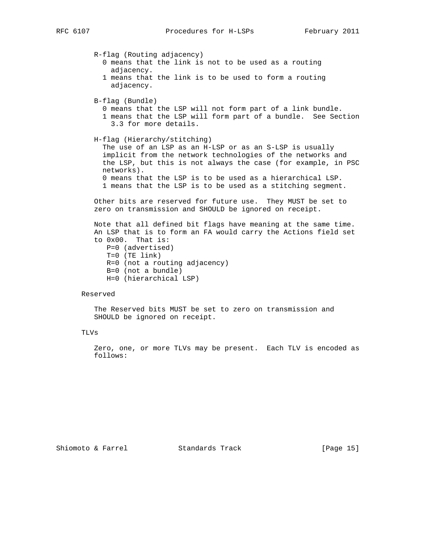R-flag (Routing adjacency) 0 means that the link is not to be used as a routing adjacency. 1 means that the link is to be used to form a routing adjacency. B-flag (Bundle) 0 means that the LSP will not form part of a link bundle. 1 means that the LSP will form part of a bundle. See Section 3.3 for more details. H-flag (Hierarchy/stitching) The use of an LSP as an H-LSP or as an S-LSP is usually implicit from the network technologies of the networks and the LSP, but this is not always the case (for example, in PSC networks). 0 means that the LSP is to be used as a hierarchical LSP. 1 means that the LSP is to be used as a stitching segment. Other bits are reserved for future use. They MUST be set to zero on transmission and SHOULD be ignored on receipt. Note that all defined bit flags have meaning at the same time. An LSP that is to form an FA would carry the Actions field set to 0x00. That is: P=0 (advertised) T=0 (TE link) R=0 (not a routing adjacency) B=0 (not a bundle) H=0 (hierarchical LSP)

#### Reserved

 The Reserved bits MUST be set to zero on transmission and SHOULD be ignored on receipt.

#### TLVs

 Zero, one, or more TLVs may be present. Each TLV is encoded as follows: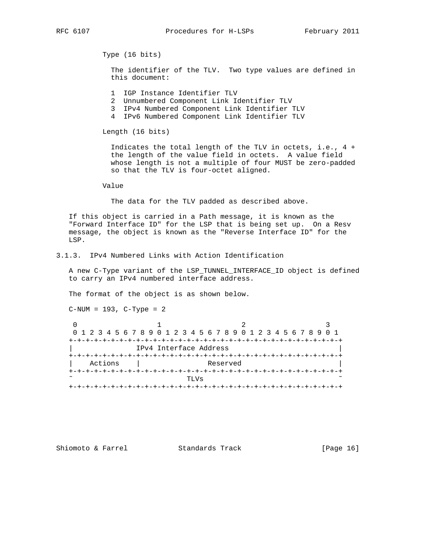Type (16 bits)

 The identifier of the TLV. Two type values are defined in this document:

- 1 IGP Instance Identifier TLV
- 2 Unnumbered Component Link Identifier TLV
- 3 IPv4 Numbered Component Link Identifier TLV
- 4 IPv6 Numbered Component Link Identifier TLV

Length (16 bits)

 Indicates the total length of the TLV in octets, i.e., 4 + the length of the value field in octets. A value field whose length is not a multiple of four MUST be zero-padded so that the TLV is four-octet aligned.

Value

The data for the TLV padded as described above.

 If this object is carried in a Path message, it is known as the "Forward Interface ID" for the LSP that is being set up. On a Resv message, the object is known as the "Reverse Interface ID" for the LSP.

3.1.3. IPv4 Numbered Links with Action Identification

 A new C-Type variant of the LSP\_TUNNEL\_INTERFACE\_ID object is defined to carry an IPv4 numbered interface address.

The format of the object is as shown below.

C-NUM = 193, C-Type = 2

| 0 1 2 3 4 5 6 7 8 9 0 1 2 3 4 5 6 7 8 9 0 1 2 3 4 5 6 7 8 9 0 1 |                        |  |  |  |  |  |  |                             |      |  |  |  |          |  |  |  |  |  |  |  |
|-----------------------------------------------------------------|------------------------|--|--|--|--|--|--|-----------------------------|------|--|--|--|----------|--|--|--|--|--|--|--|
|                                                                 |                        |  |  |  |  |  |  |                             |      |  |  |  |          |  |  |  |  |  |  |  |
|                                                                 | IPv4 Interface Address |  |  |  |  |  |  |                             |      |  |  |  |          |  |  |  |  |  |  |  |
|                                                                 |                        |  |  |  |  |  |  | --+-+-+-+-+-+-+-+-+-+-+-+-+ |      |  |  |  |          |  |  |  |  |  |  |  |
|                                                                 | Actions                |  |  |  |  |  |  |                             |      |  |  |  | Reserved |  |  |  |  |  |  |  |
|                                                                 |                        |  |  |  |  |  |  | +-+-+-+-+-+-+-+-+-+-+-      |      |  |  |  |          |  |  |  |  |  |  |  |
| $\tilde{\phantom{a}}$                                           |                        |  |  |  |  |  |  |                             | TLVs |  |  |  |          |  |  |  |  |  |  |  |
|                                                                 |                        |  |  |  |  |  |  |                             |      |  |  |  |          |  |  |  |  |  |  |  |

Shiomoto & Farrel Standards Track [Page 16]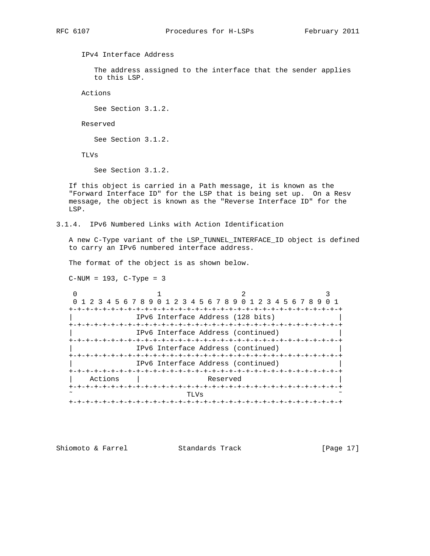IPv4 Interface Address

 The address assigned to the interface that the sender applies to this LSP.

Actions

See Section 3.1.2.

Reserved

See Section 3.1.2.

TLVs

See Section 3.1.2.

 If this object is carried in a Path message, it is known as the "Forward Interface ID" for the LSP that is being set up. On a Resv message, the object is known as the "Reverse Interface ID" for the LSP.

3.1.4. IPv6 Numbered Links with Action Identification

 A new C-Type variant of the LSP\_TUNNEL\_INTERFACE\_ID object is defined to carry an IPv6 numbered interface address.

The format of the object is as shown below.

 $C-NUM = 193, C-Type = 3$ 

|         | 0 1 2 3 4 5 6 7 8 9 0 1 2 3 4 5 6 7 8 9 0 1 2 3 4 5 6 7 8 9 |                                    |  |  |  |  |  |  |  |  |  |  |  |
|---------|-------------------------------------------------------------|------------------------------------|--|--|--|--|--|--|--|--|--|--|--|
|         |                                                             | -+-+-+-+-+-+-+-+-+-+               |  |  |  |  |  |  |  |  |  |  |  |
|         |                                                             | IPv6 Interface Address (128 bits)  |  |  |  |  |  |  |  |  |  |  |  |
|         |                                                             |                                    |  |  |  |  |  |  |  |  |  |  |  |
|         | IPv6 Interface Address (continued)                          |                                    |  |  |  |  |  |  |  |  |  |  |  |
|         |                                                             |                                    |  |  |  |  |  |  |  |  |  |  |  |
|         | IPv6 Interface Address (continued)                          |                                    |  |  |  |  |  |  |  |  |  |  |  |
|         |                                                             |                                    |  |  |  |  |  |  |  |  |  |  |  |
|         |                                                             | IPv6 Interface Address (continued) |  |  |  |  |  |  |  |  |  |  |  |
|         |                                                             |                                    |  |  |  |  |  |  |  |  |  |  |  |
| Actions |                                                             | Reserved                           |  |  |  |  |  |  |  |  |  |  |  |
|         |                                                             |                                    |  |  |  |  |  |  |  |  |  |  |  |
|         | TLVs                                                        |                                    |  |  |  |  |  |  |  |  |  |  |  |
|         |                                                             |                                    |  |  |  |  |  |  |  |  |  |  |  |

Shiomoto & Farrel Standards Track [Page 17]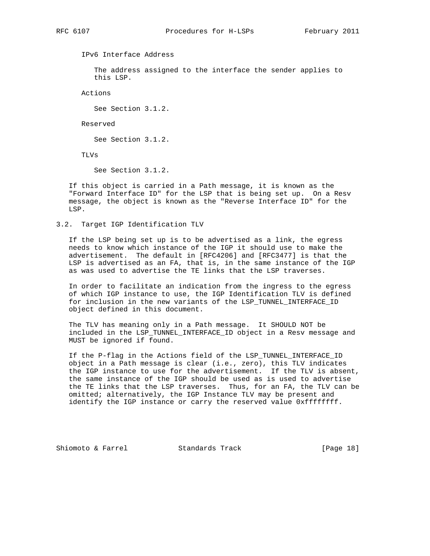IPv6 Interface Address

 The address assigned to the interface the sender applies to this LSP.

Actions

See Section 3.1.2.

Reserved

See Section 3.1.2.

TLVs

See Section 3.1.2.

 If this object is carried in a Path message, it is known as the "Forward Interface ID" for the LSP that is being set up. On a Resv message, the object is known as the "Reverse Interface ID" for the LSP.

3.2. Target IGP Identification TLV

 If the LSP being set up is to be advertised as a link, the egress needs to know which instance of the IGP it should use to make the advertisement. The default in [RFC4206] and [RFC3477] is that the LSP is advertised as an FA, that is, in the same instance of the IGP as was used to advertise the TE links that the LSP traverses.

 In order to facilitate an indication from the ingress to the egress of which IGP instance to use, the IGP Identification TLV is defined for inclusion in the new variants of the LSP\_TUNNEL\_INTERFACE\_ID object defined in this document.

 The TLV has meaning only in a Path message. It SHOULD NOT be included in the LSP\_TUNNEL\_INTERFACE\_ID object in a Resv message and MUST be ignored if found.

 If the P-flag in the Actions field of the LSP\_TUNNEL\_INTERFACE\_ID object in a Path message is clear (i.e., zero), this TLV indicates the IGP instance to use for the advertisement. If the TLV is absent, the same instance of the IGP should be used as is used to advertise the TE links that the LSP traverses. Thus, for an FA, the TLV can be omitted; alternatively, the IGP Instance TLV may be present and identify the IGP instance or carry the reserved value 0xffffffff.

Shiomoto & Farrel Standards Track [Page 18]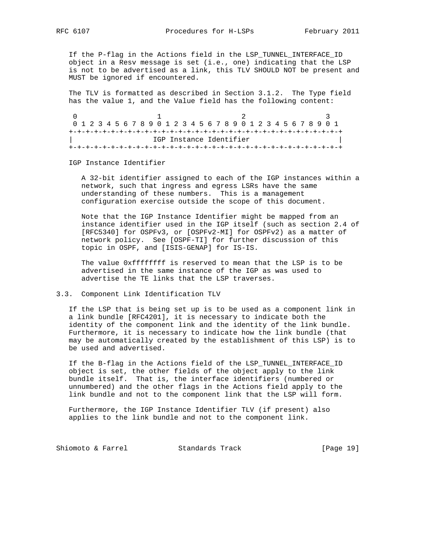If the P-flag in the Actions field in the LSP\_TUNNEL\_INTERFACE\_ID object in a Resv message is set (i.e., one) indicating that the LSP is not to be advertised as a link, this TLV SHOULD NOT be present and MUST be ignored if encountered.

 The TLV is formatted as described in Section 3.1.2. The Type field has the value 1, and the Value field has the following content:

0  $1$  2 3 0 1 2 3 4 5 6 7 8 9 0 1 2 3 4 5 6 7 8 9 0 1 2 3 4 5 6 7 8 9 0 1 +-+-+-+-+-+-+-+-+-+-+-+-+-+-+-+-+-+-+-+-+-+-+-+-+-+-+-+-+-+-+-+-+ IGP Instance Identifier +-+-+-+-+-+-+-+-+-+-+-+-+-+-+-+-+-+-+-+-+-+-+-+-+-+-+-+-+-+-+-+-+

IGP Instance Identifier

 A 32-bit identifier assigned to each of the IGP instances within a network, such that ingress and egress LSRs have the same understanding of these numbers. This is a management configuration exercise outside the scope of this document.

 Note that the IGP Instance Identifier might be mapped from an instance identifier used in the IGP itself (such as section 2.4 of [RFC5340] for OSPFv3, or [OSPFv2-MI] for OSPFv2) as a matter of network policy. See [OSPF-TI] for further discussion of this topic in OSPF, and [ISIS-GENAP] for IS-IS.

The value 0xfffffffff is reserved to mean that the LSP is to be advertised in the same instance of the IGP as was used to advertise the TE links that the LSP traverses.

# 3.3. Component Link Identification TLV

 If the LSP that is being set up is to be used as a component link in a link bundle [RFC4201], it is necessary to indicate both the identity of the component link and the identity of the link bundle. Furthermore, it is necessary to indicate how the link bundle (that may be automatically created by the establishment of this LSP) is to be used and advertised.

 If the B-flag in the Actions field of the LSP\_TUNNEL\_INTERFACE\_ID object is set, the other fields of the object apply to the link bundle itself. That is, the interface identifiers (numbered or unnumbered) and the other flags in the Actions field apply to the link bundle and not to the component link that the LSP will form.

 Furthermore, the IGP Instance Identifier TLV (if present) also applies to the link bundle and not to the component link.

Shiomoto & Farrel Standards Track [Page 19]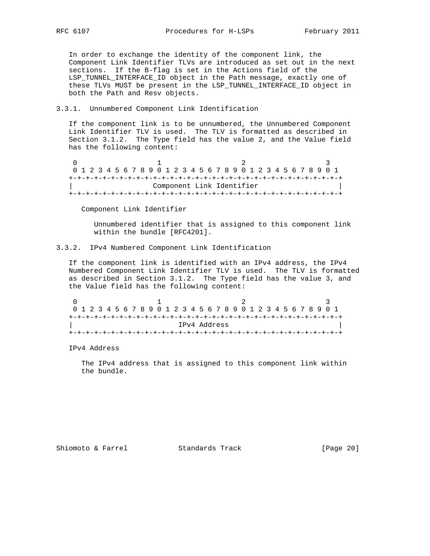In order to exchange the identity of the component link, the Component Link Identifier TLVs are introduced as set out in the next sections. If the B-flag is set in the Actions field of the LSP\_TUNNEL\_INTERFACE\_ID object in the Path message, exactly one of these TLVs MUST be present in the LSP\_TUNNEL\_INTERFACE\_ID object in both the Path and Resv objects.

## 3.3.1. Unnumbered Component Link Identification

 If the component link is to be unnumbered, the Unnumbered Component Link Identifier TLV is used. The TLV is formatted as described in Section 3.1.2. The Type field has the value 2, and the Value field has the following content:

0  $1$  2 3 0 1 2 3 4 5 6 7 8 9 0 1 2 3 4 5 6 7 8 9 0 1 2 3 4 5 6 7 8 9 0 1 +-+-+-+-+-+-+-+-+-+-+-+-+-+-+-+-+-+-+-+-+-+-+-+-+-+-+-+-+-+-+-+-+ Component Link Identifier +-+-+-+-+-+-+-+-+-+-+-+-+-+-+-+-+-+-+-+-+-+-+-+-+-+-+-+-+-+-+-+-+

Component Link Identifier

 Unnumbered identifier that is assigned to this component link within the bundle [RFC4201].

# 3.3.2. IPv4 Numbered Component Link Identification

 If the component link is identified with an IPv4 address, the IPv4 Numbered Component Link Identifier TLV is used. The TLV is formatted as described in Section 3.1.2. The Type field has the value 3, and the Value field has the following content:

| 0 1 2 3 4 5 6 7 8 9 0 1 2 3 4 5 6 7 8 9 0 1 2 3 4 5 6 7 8 9 0 1 |  |  |  |  |  |  |  |  |  |  |  |  |  |  |  |  |  |  |  |  |  |  |
|-----------------------------------------------------------------|--|--|--|--|--|--|--|--|--|--|--|--|--|--|--|--|--|--|--|--|--|--|
|                                                                 |  |  |  |  |  |  |  |  |  |  |  |  |  |  |  |  |  |  |  |  |  |  |
| TPv4 Address                                                    |  |  |  |  |  |  |  |  |  |  |  |  |  |  |  |  |  |  |  |  |  |  |
|                                                                 |  |  |  |  |  |  |  |  |  |  |  |  |  |  |  |  |  |  |  |  |  |  |

IPv4 Address

 The IPv4 address that is assigned to this component link within the bundle.

Shiomoto & Farrel Standards Track [Page 20]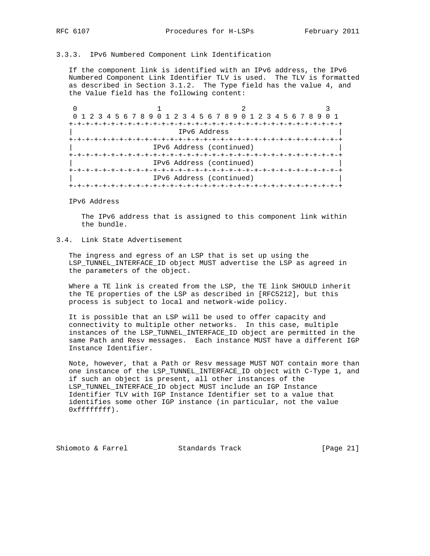# 3.3.3. IPv6 Numbered Component Link Identification

 If the component link is identified with an IPv6 address, the IPv6 Numbered Component Link Identifier TLV is used. The TLV is formatted as described in Section 3.1.2. The Type field has the value 4, and the Value field has the following content:

0  $1$  2 3 0 1 2 3 4 5 6 7 8 9 0 1 2 3 4 5 6 7 8 9 0 1 2 3 4 5 6 7 8 9 0 1 +-+-+-+-+-+-+-+-+-+-+-+-+-+-+-+-+-+-+-+-+-+-+-+-+-+-+-+-+-+-+-+-+ | IPv6 Address | +-+-+-+-+-+-+-+-+-+-+-+-+-+-+-+-+-+-+-+-+-+-+-+-+-+-+-+-+-+-+-+-+ IPv6 Address (continued) +-+-+-+-+-+-+-+-+-+-+-+-+-+-+-+-+-+-+-+-+-+-+-+-+-+-+-+-+-+-+-+-+ | IPv6 Address (continued) | +-+-+-+-+-+-+-+-+-+-+-+-+-+-+-+-+-+-+-+-+-+-+-+-+-+-+-+-+-+-+-+-+ | IPv6 Address (continued) | +-+-+-+-+-+-+-+-+-+-+-+-+-+-+-+-+-+-+-+-+-+-+-+-+-+-+-+-+-+-+-+-+

IPv6 Address

 The IPv6 address that is assigned to this component link within the bundle.

# 3.4. Link State Advertisement

 The ingress and egress of an LSP that is set up using the LSP\_TUNNEL\_INTERFACE\_ID object MUST advertise the LSP as agreed in the parameters of the object.

 Where a TE link is created from the LSP, the TE link SHOULD inherit the TE properties of the LSP as described in [RFC5212], but this process is subject to local and network-wide policy.

 It is possible that an LSP will be used to offer capacity and connectivity to multiple other networks. In this case, multiple instances of the LSP\_TUNNEL\_INTERFACE\_ID object are permitted in the same Path and Resv messages. Each instance MUST have a different IGP Instance Identifier.

 Note, however, that a Path or Resv message MUST NOT contain more than one instance of the LSP\_TUNNEL\_INTERFACE\_ID object with C-Type 1, and if such an object is present, all other instances of the LSP\_TUNNEL\_INTERFACE\_ID object MUST include an IGP Instance Identifier TLV with IGP Instance Identifier set to a value that identifies some other IGP instance (in particular, not the value 0xffffffff).

Shiomoto & Farrel Standards Track [Page 21]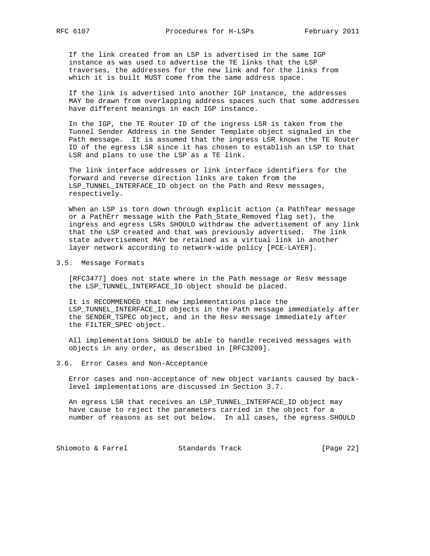If the link created from an LSP is advertised in the same IGP instance as was used to advertise the TE links that the LSP traverses, the addresses for the new link and for the links from which it is built MUST come from the same address space.

 If the link is advertised into another IGP instance, the addresses MAY be drawn from overlapping address spaces such that some addresses have different meanings in each IGP instance.

 In the IGP, the TE Router ID of the ingress LSR is taken from the Tunnel Sender Address in the Sender Template object signaled in the Path message. It is assumed that the ingress LSR knows the TE Router ID of the egress LSR since it has chosen to establish an LSP to that LSR and plans to use the LSP as a TE link.

 The link interface addresses or link interface identifiers for the forward and reverse direction links are taken from the LSP\_TUNNEL\_INTERFACE\_ID object on the Path and Resv messages, respectively.

 When an LSP is torn down through explicit action (a PathTear message or a PathErr message with the Path\_State\_Removed flag set), the ingress and egress LSRs SHOULD withdraw the advertisement of any link that the LSP created and that was previously advertised. The link state advertisement MAY be retained as a virtual link in another layer network according to network-wide policy [PCE-LAYER].

#### 3.5. Message Formats

 [RFC3477] does not state where in the Path message or Resv message the LSP TUNNEL INTERFACE ID object should be placed.

 It is RECOMMENDED that new implementations place the LSP\_TUNNEL\_INTERFACE\_ID objects in the Path message immediately after the SENDER\_TSPEC object, and in the Resv message immediately after the FILTER\_SPEC object.

 All implementations SHOULD be able to handle received messages with objects in any order, as described in [RFC3209].

3.6. Error Cases and Non-Acceptance

 Error cases and non-acceptance of new object variants caused by back level implementations are discussed in Section 3.7.

 An egress LSR that receives an LSP\_TUNNEL\_INTERFACE\_ID object may have cause to reject the parameters carried in the object for a number of reasons as set out below. In all cases, the egress SHOULD

Shiomoto & Farrel Standards Track [Page 22]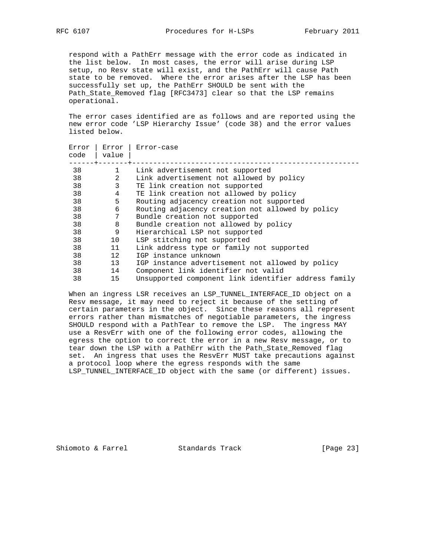respond with a PathErr message with the error code as indicated in the list below. In most cases, the error will arise during LSP setup, no Resv state will exist, and the PathErr will cause Path state to be removed. Where the error arises after the LSP has been successfully set up, the PathErr SHOULD be sent with the Path\_State\_Removed flag [RFC3473] clear so that the LSP remains operational.

 The error cases identified are as follows and are reported using the new error code 'LSP Hierarchy Issue' (code 38) and the error values listed below.

| Error<br>code | Error<br>value | Error-case                                           |
|---------------|----------------|------------------------------------------------------|
| 38            | $\mathbf{1}$   | Link advertisement not supported                     |
| 38            | 2              | Link advertisement not allowed by policy             |
| 38            | 3              | TE link creation not supported                       |
| 38            | 4              | TE link creation not allowed by policy               |
| 38            | 5              | Routing adjacency creation not supported             |
| 38            | 6              | Routing adjacency creation not allowed by policy     |
| 38            | 7              | Bundle creation not supported                        |
| 38            | 8              | Bundle creation not allowed by policy                |
| 38            | 9              | Hierarchical LSP not supported                       |
| 38            | 10             | LSP stitching not supported                          |
| 38            | 11             | Link address type or family not supported            |
| 38            | 12             | IGP instance unknown                                 |
| 38            | 13             | IGP instance advertisement not allowed by policy     |
| 38            | 14             | Component link identifier not valid                  |
| 38            | 15             | Unsupported component link identifier address family |

 When an ingress LSR receives an LSP\_TUNNEL\_INTERFACE\_ID object on a Resv message, it may need to reject it because of the setting of certain parameters in the object. Since these reasons all represent errors rather than mismatches of negotiable parameters, the ingress SHOULD respond with a PathTear to remove the LSP. The ingress MAY use a ResvErr with one of the following error codes, allowing the egress the option to correct the error in a new Resv message, or to tear down the LSP with a PathErr with the Path\_State\_Removed flag set. An ingress that uses the ResvErr MUST take precautions against a protocol loop where the egress responds with the same LSP\_TUNNEL\_INTERFACE\_ID object with the same (or different) issues.

Shiomoto & Farrel Standards Track [Page 23]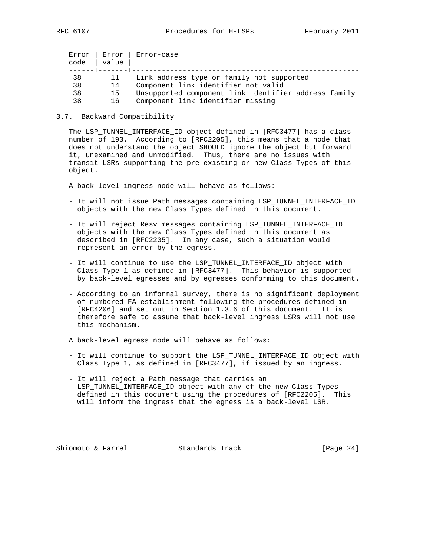| Error<br>code | Error<br>value | Error-case                                           |
|---------------|----------------|------------------------------------------------------|
| 38            |                | Link address type or family not supported            |
| 38            | 14             | Component link identifier not valid                  |
| 38            | 15             | Unsupported component link identifier address family |
| 38            | 16             | Component link identifier missing                    |

#### 3.7. Backward Compatibility

 The LSP\_TUNNEL\_INTERFACE\_ID object defined in [RFC3477] has a class number of 193. According to [RFC2205], this means that a node that does not understand the object SHOULD ignore the object but forward it, unexamined and unmodified. Thus, there are no issues with transit LSRs supporting the pre-existing or new Class Types of this object.

A back-level ingress node will behave as follows:

- It will not issue Path messages containing LSP\_TUNNEL\_INTERFACE\_ID objects with the new Class Types defined in this document.
- It will reject Resv messages containing LSP\_TUNNEL\_INTERFACE\_ID objects with the new Class Types defined in this document as described in [RFC2205]. In any case, such a situation would represent an error by the egress.
- It will continue to use the LSP\_TUNNEL\_INTERFACE\_ID object with Class Type 1 as defined in [RFC3477]. This behavior is supported by back-level egresses and by egresses conforming to this document.
- According to an informal survey, there is no significant deployment of numbered FA establishment following the procedures defined in [RFC4206] and set out in Section 1.3.6 of this document. It is therefore safe to assume that back-level ingress LSRs will not use this mechanism.
- A back-level egress node will behave as follows:
- It will continue to support the LSP\_TUNNEL\_INTERFACE\_ID object with Class Type 1, as defined in [RFC3477], if issued by an ingress.
- It will reject a Path message that carries an LSP\_TUNNEL\_INTERFACE\_ID object with any of the new Class Types defined in this document using the procedures of [RFC2205]. This will inform the ingress that the egress is a back-level LSR.

Shiomoto & Farrel Standards Track [Page 24]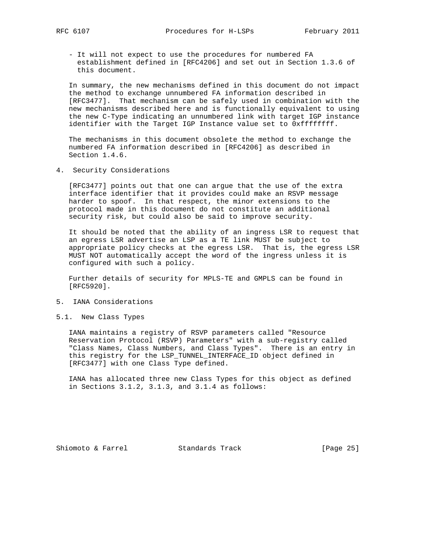- It will not expect to use the procedures for numbered FA establishment defined in [RFC4206] and set out in Section 1.3.6 of

 In summary, the new mechanisms defined in this document do not impact the method to exchange unnumbered FA information described in [RFC3477]. That mechanism can be safely used in combination with the new mechanisms described here and is functionally equivalent to using the new C-Type indicating an unnumbered link with target IGP instance identifier with the Target IGP Instance value set to 0xffffffff.

 The mechanisms in this document obsolete the method to exchange the numbered FA information described in [RFC4206] as described in Section 1.4.6.

4. Security Considerations

this document.

 [RFC3477] points out that one can argue that the use of the extra interface identifier that it provides could make an RSVP message harder to spoof. In that respect, the minor extensions to the protocol made in this document do not constitute an additional security risk, but could also be said to improve security.

 It should be noted that the ability of an ingress LSR to request that an egress LSR advertise an LSP as a TE link MUST be subject to appropriate policy checks at the egress LSR. That is, the egress LSR MUST NOT automatically accept the word of the ingress unless it is configured with such a policy.

 Further details of security for MPLS-TE and GMPLS can be found in [RFC5920].

- 5. IANA Considerations
- 5.1. New Class Types

 IANA maintains a registry of RSVP parameters called "Resource Reservation Protocol (RSVP) Parameters" with a sub-registry called "Class Names, Class Numbers, and Class Types". There is an entry in this registry for the LSP\_TUNNEL\_INTERFACE\_ID object defined in [RFC3477] with one Class Type defined.

 IANA has allocated three new Class Types for this object as defined in Sections 3.1.2, 3.1.3, and 3.1.4 as follows:

Shiomoto & Farrel Standards Track [Page 25]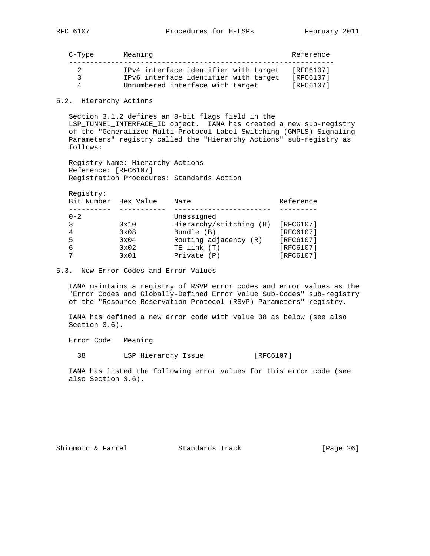C-Type Meaning Reference --------------------------------------------------------------- 2 IPv4 interface identifier with target [RFC6107] 3 IPv6 interface identifier with target [RFC6107] 4 Unnumbered interface with target [RFC6107]

5.2. Hierarchy Actions

 Section 3.1.2 defines an 8-bit flags field in the LSP TUNNEL INTERFACE ID object. IANA has created a new sub-registry of the "Generalized Multi-Protocol Label Switching (GMPLS) Signaling Parameters" registry called the "Hierarchy Actions" sub-registry as follows:

 Registry Name: Hierarchy Actions Reference: [RFC6107] Registration Procedures: Standards Action

Registry:

|         | Bit Number Hex Value | Name                    | Reference |
|---------|----------------------|-------------------------|-----------|
|         |                      |                         |           |
| $0 - 2$ |                      | Unassigned              |           |
| 3       | 0x10                 | Hierarchy/stitching (H) | [RFC6107] |
| 4       | $0 \times 08$        | Bundle (B)              | [RFC6107] |
| 5       | $0 \times 04$        | Routing adjacency (R)   | [RFC6107] |
| 6       | 0x02                 | TE link (T)             | [RFC6107] |
|         | 0x01                 | Private (P)             | [RFC6107] |

5.3. New Error Codes and Error Values

 IANA maintains a registry of RSVP error codes and error values as the "Error Codes and Globally-Defined Error Value Sub-Codes" sub-registry of the "Resource Reservation Protocol (RSVP) Parameters" registry.

 IANA has defined a new error code with value 38 as below (see also Section 3.6).

Error Code Meaning

38 LSP Hierarchy Issue [RFC6107]

 IANA has listed the following error values for this error code (see also Section 3.6).

Shiomoto & Farrel Standards Track [Page 26]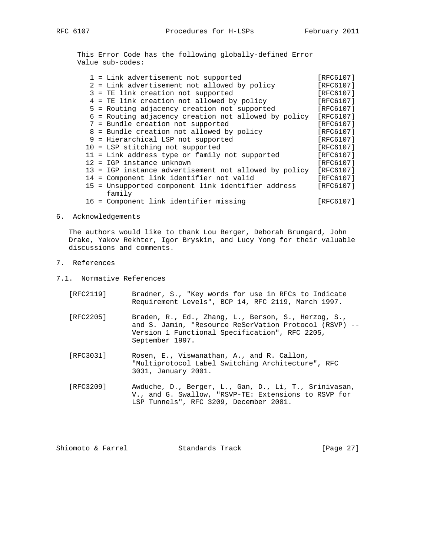This Error Code has the following globally-defined Error Value sub-codes:

|  | 1 = Link advertisement not supported                  | [RFC6107] |
|--|-------------------------------------------------------|-----------|
|  | 2 = Link advertisement not allowed by policy          | [RFC6107] |
|  | 3 = TE link creation not supported                    | [RFC6107] |
|  | 4 = TE link creation not allowed by policy            | [RFC6107] |
|  | 5 = Routing adjacency creation not supported          | [RFC6107] |
|  | 6 = Routing adjacency creation not allowed by policy  | [RFC6107] |
|  | 7 = Bundle creation not supported                     | [RFC6107] |
|  | 8 = Bundle creation not allowed by policy             | [RFC6107] |
|  | 9 = Hierarchical LSP not supported                    | [RFC6107] |
|  | 10 = LSP stitching not supported                      | [RFC6107] |
|  | 11 = Link address type or family not supported        | [RFC6107] |
|  | $12 = IGP$ instance unknown                           | [RFC6107] |
|  | 13 = IGP instance advertisement not allowed by policy | [RFC6107] |
|  | 14 = Component link identifier not valid              | [RFC6107] |
|  | 15 = Unsupported component link identifier address    | [RFC6107] |
|  | family                                                |           |
|  | 16 = Component link identifier missing                | [RFC6107] |
|  |                                                       |           |

#### 6. Acknowledgements

 The authors would like to thank Lou Berger, Deborah Brungard, John Drake, Yakov Rekhter, Igor Bryskin, and Lucy Yong for their valuable discussions and comments.

- 7. References
- 7.1. Normative References
	- [RFC2119] Bradner, S., "Key words for use in RFCs to Indicate Requirement Levels", BCP 14, RFC 2119, March 1997.
	- [RFC2205] Braden, R., Ed., Zhang, L., Berson, S., Herzog, S., and S. Jamin, "Resource ReSerVation Protocol (RSVP) -- Version 1 Functional Specification", RFC 2205, September 1997.
	- [RFC3031] Rosen, E., Viswanathan, A., and R. Callon, "Multiprotocol Label Switching Architecture", RFC 3031, January 2001.
	- [RFC3209] Awduche, D., Berger, L., Gan, D., Li, T., Srinivasan, V., and G. Swallow, "RSVP-TE: Extensions to RSVP for LSP Tunnels", RFC 3209, December 2001.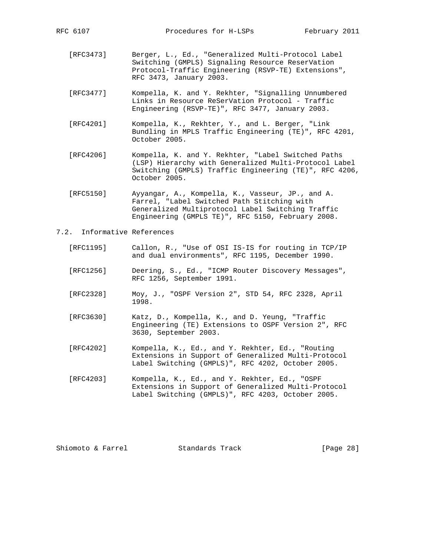- [RFC3473] Berger, L., Ed., "Generalized Multi-Protocol Label Switching (GMPLS) Signaling Resource ReserVation Protocol-Traffic Engineering (RSVP-TE) Extensions", RFC 3473, January 2003.
- [RFC3477] Kompella, K. and Y. Rekhter, "Signalling Unnumbered Links in Resource ReSerVation Protocol - Traffic Engineering (RSVP-TE)", RFC 3477, January 2003.
- [RFC4201] Kompella, K., Rekhter, Y., and L. Berger, "Link Bundling in MPLS Traffic Engineering (TE)", RFC 4201, October 2005.
- [RFC4206] Kompella, K. and Y. Rekhter, "Label Switched Paths (LSP) Hierarchy with Generalized Multi-Protocol Label Switching (GMPLS) Traffic Engineering (TE)", RFC 4206, October 2005.
- [RFC5150] Ayyangar, A., Kompella, K., Vasseur, JP., and A. Farrel, "Label Switched Path Stitching with Generalized Multiprotocol Label Switching Traffic Engineering (GMPLS TE)", RFC 5150, February 2008.
- 7.2. Informative References
	- [RFC1195] Callon, R., "Use of OSI IS-IS for routing in TCP/IP and dual environments", RFC 1195, December 1990.
	- [RFC1256] Deering, S., Ed., "ICMP Router Discovery Messages", RFC 1256, September 1991.
	- [RFC2328] Moy, J., "OSPF Version 2", STD 54, RFC 2328, April 1998.
	- [RFC3630] Katz, D., Kompella, K., and D. Yeung, "Traffic Engineering (TE) Extensions to OSPF Version 2", RFC 3630, September 2003.
	- [RFC4202] Kompella, K., Ed., and Y. Rekhter, Ed., "Routing Extensions in Support of Generalized Multi-Protocol Label Switching (GMPLS)", RFC 4202, October 2005.
	- [RFC4203] Kompella, K., Ed., and Y. Rekhter, Ed., "OSPF Extensions in Support of Generalized Multi-Protocol Label Switching (GMPLS)", RFC 4203, October 2005.

Shiomoto & Farrel **Standards Track** [Page 28]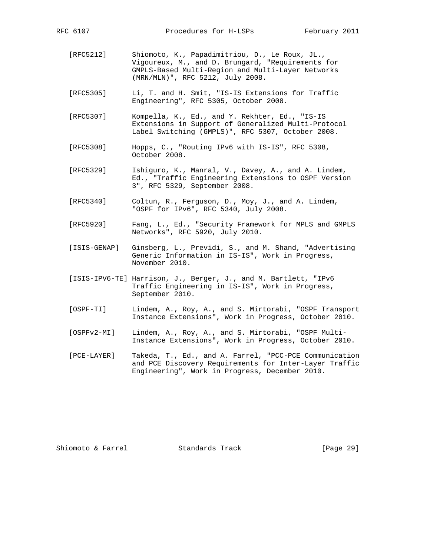- [RFC5212] Shiomoto, K., Papadimitriou, D., Le Roux, JL., Vigoureux, M., and D. Brungard, "Requirements for GMPLS-Based Multi-Region and Multi-Layer Networks (MRN/MLN)", RFC 5212, July 2008.
- [RFC5305] Li, T. and H. Smit, "IS-IS Extensions for Traffic Engineering", RFC 5305, October 2008.
- [RFC5307] Kompella, K., Ed., and Y. Rekhter, Ed., "IS-IS Extensions in Support of Generalized Multi-Protocol Label Switching (GMPLS)", RFC 5307, October 2008.
- [RFC5308] Hopps, C., "Routing IPv6 with IS-IS", RFC 5308, October 2008.
- [RFC5329] Ishiguro, K., Manral, V., Davey, A., and A. Lindem, Ed., "Traffic Engineering Extensions to OSPF Version 3", RFC 5329, September 2008.
- [RFC5340] Coltun, R., Ferguson, D., Moy, J., and A. Lindem, "OSPF for IPv6", RFC 5340, July 2008.
- [RFC5920] Fang, L., Ed., "Security Framework for MPLS and GMPLS Networks", RFC 5920, July 2010.
- [ISIS-GENAP] Ginsberg, L., Previdi, S., and M. Shand, "Advertising Generic Information in IS-IS", Work in Progress, November 2010.
- [ISIS-IPV6-TE] Harrison, J., Berger, J., and M. Bartlett, "IPv6 Traffic Engineering in IS-IS", Work in Progress, September 2010.
- [OSPF-TI] Lindem, A., Roy, A., and S. Mirtorabi, "OSPF Transport Instance Extensions", Work in Progress, October 2010.
- [OSPFv2-MI] Lindem, A., Roy, A., and S. Mirtorabi, "OSPF Multi- Instance Extensions", Work in Progress, October 2010.
- [PCE-LAYER] Takeda, T., Ed., and A. Farrel, "PCC-PCE Communication and PCE Discovery Requirements for Inter-Layer Traffic Engineering", Work in Progress, December 2010.

Shiomoto & Farrel **Standards Track** [Page 29]